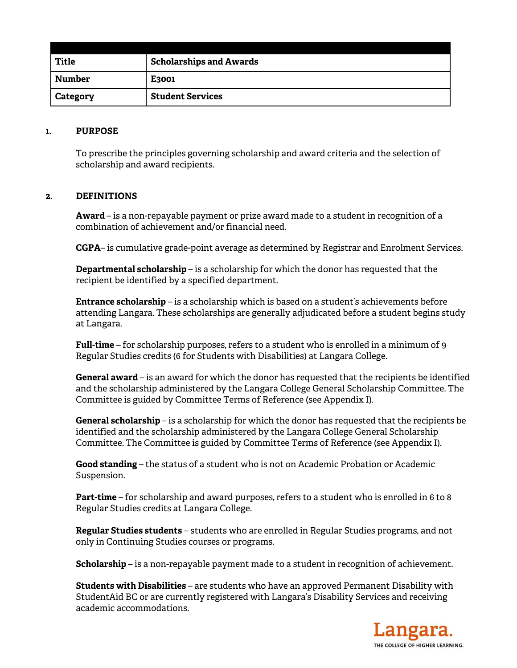| <b>Title</b> | <b>Scholarships and Awards</b> |
|--------------|--------------------------------|
| Number       | E <sub>3001</sub>              |
| Category     | <b>Student Services</b>        |

#### **1. PURPOSE**

To prescribe the principles governing scholarship and award criteria and the selection of scholarship and award recipients.

### **2. DEFINITIONS**

**Award** – is a non-repayable payment or prize award made to a student in recognition of a combination of achievement and/or financial need.

**CGPA**– is cumulative grade-point average as determined by Registrar and Enrolment Services.

**Departmental scholarship** – is a scholarship for which the donor has requested that the recipient be identified by a specified department.

**Entrance scholarship** – is a scholarship which is based on a student's achievements before attending Langara. These scholarships are generally adjudicated before a student begins study at Langara.

**Full-time** – for scholarship purposes, refers to a student who is enrolled in a minimum of 9 Regular Studies credits (6 for Students with Disabilities) at Langara College.

**General award** – is an award for which the donor has requested that the recipients be identified and the scholarship administered by the Langara College General Scholarship Committee. The Committee is guided by Committee Terms of Reference (see Appendix I).

**General scholarship** – is a scholarship for which the donor has requested that the recipients be identified and the scholarship administered by the Langara College General Scholarship Committee. The Committee is guided by Committee Terms of Reference (see Appendix I).

**Good standing** – the status of a student who is not on Academic Probation or Academic Suspension.

**Part-time** – for scholarship and award purposes, refers to a student who is enrolled in 6 to 8 Regular Studies credits at Langara College.

**Regular Studies students** – students who are enrolled in Regular Studies programs, and not only in Continuing Studies courses or programs.

**Scholarship** – is a non-repayable payment made to a student in recognition of achievement.

**Students with Disabilities** – are students who have an approved Permanent Disability with StudentAid BC or are currently registered with Langara's Disability Services and receiving academic accommodations.

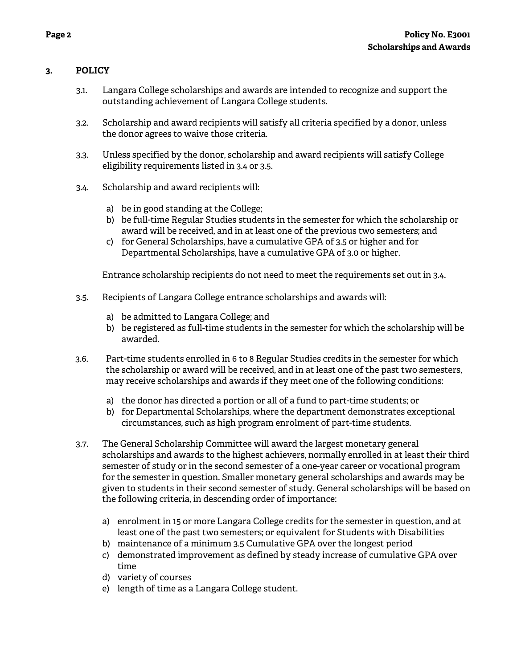# **3. POLICY**

- 3.1. Langara College scholarships and awards are intended to recognize and support the outstanding achievement of Langara College students.
- 3.2. Scholarship and award recipients will satisfy all criteria specified by a donor, unless the donor agrees to waive those criteria.
- 3.3. Unless specified by the donor, scholarship and award recipients will satisfy College eligibility requirements listed in 3.4 or 3.5.
- 3.4. Scholarship and award recipients will:
	- a) be in good standing at the College;
	- b) be full-time Regular Studies students in the semester for which the scholarship or award will be received, and in at least one of the previous two semesters; and
	- c) for General Scholarships, have a cumulative GPA of 3.5 or higher and for Departmental Scholarships, have a cumulative GPA of 3.0 or higher.

Entrance scholarship recipients do not need to meet the requirements set out in 3.4.

- 3.5. Recipients of Langara College entrance scholarships and awards will:
	- a) be admitted to Langara College; and
	- b) be registered as full-time students in the semester for which the scholarship will be awarded.
- 3.6. Part-time students enrolled in 6 to 8 Regular Studies credits in the semester for which the scholarship or award will be received, and in at least one of the past two semesters, may receive scholarships and awards if they meet one of the following conditions:
	- a) the donor has directed a portion or all of a fund to part-time students; or
	- b) for Departmental Scholarships, where the department demonstrates exceptional circumstances, such as high program enrolment of part-time students.
- 3.7. The General Scholarship Committee will award the largest monetary general scholarships and awards to the highest achievers, normally enrolled in at least their third semester of study or in the second semester of a one-year career or vocational program for the semester in question. Smaller monetary general scholarships and awards may be given to students in their second semester of study. General scholarships will be based on the following criteria, in descending order of importance:
	- a) enrolment in 15 or more Langara College credits for the semester in question, and at least one of the past two semesters; or equivalent for Students with Disabilities
	- b) maintenance of a minimum 3.5 Cumulative GPA over the longest period
	- c) demonstrated improvement as defined by steady increase of cumulative GPA over time
	- d) variety of courses
	- e) length of time as a Langara College student.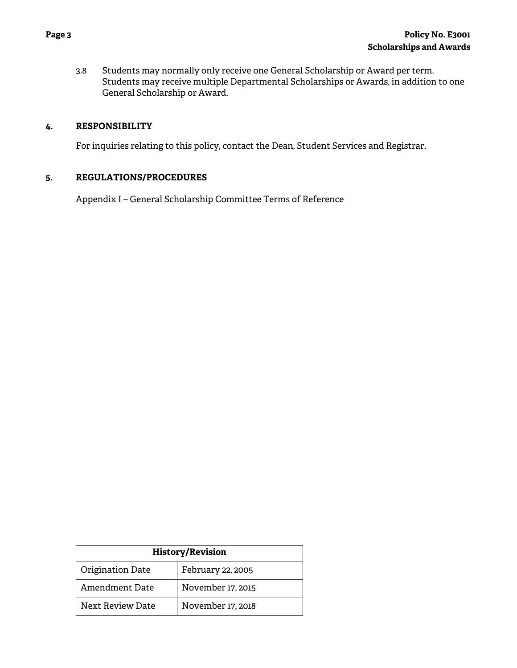3.8 Students may normally only receive one General Scholarship or Award per term. Students may receive multiple Departmental Scholarships or Awards, in addition to one General Scholarship or Award.

#### **4. RESPONSIBILITY**

For inquiries relating to this policy, contact the Dean, Student Services and Registrar.

#### **5. REGULATIONS/PROCEDURES**

Appendix I – General Scholarship Committee Terms of Reference

| <b>History/Revision</b> |                   |  |
|-------------------------|-------------------|--|
| Origination Date        | February 22, 2005 |  |
| Amendment Date          | November 17, 2015 |  |
| Next Review Date        | November 17, 2018 |  |